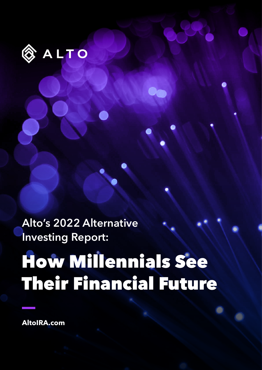

**Alto's 2022 Alternative Investing Report:**

# How Millennials See Their Financial Future

Ua

**AltoIRA.com**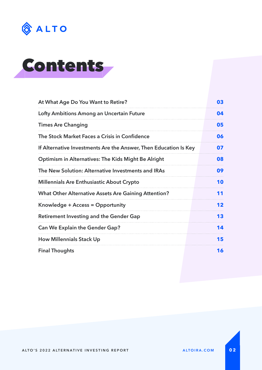



| At What Age Do You Want to Retire?                               | 03 |  |
|------------------------------------------------------------------|----|--|
| Lofty Ambitions Among an Uncertain Future                        |    |  |
| <b>Times Are Changing</b>                                        |    |  |
| The Stock Market Faces a Crisis in Confidence                    | 06 |  |
| If Alternative Investments Are the Answer, Then Education Is Key | 07 |  |
| Optimism in Alternatives: The Kids Might Be Alright              |    |  |
| The New Solution: Alternative Investments and IRAs               | 09 |  |
| <b>Millennials Are Enthusiastic About Crypto</b>                 |    |  |
| <b>What Other Alternative Assets Are Gaining Attention?</b>      | 11 |  |
| Knowledge + Access = Opportunity                                 | 12 |  |
| <b>Retirement Investing and the Gender Gap</b>                   | 13 |  |
| <b>Can We Explain the Gender Gap?</b>                            | 14 |  |
| <b>How Millennials Stack Up</b>                                  | 15 |  |
| <b>Final Thoughts</b>                                            | 16 |  |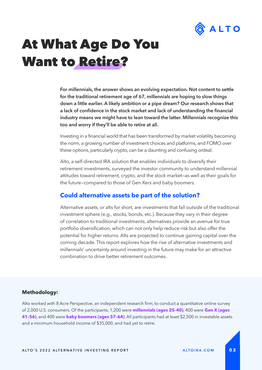

### At What Age Do You Want to Retire?

**For millennials, the answer shows an evolving expectation. Not content to settle for the traditional retirement age of 67, millennials are hoping to slow things down a little earlier. A likely ambition or a pipe dream? Our research shows that a lack of confdence in the stock market and lack of understanding the fnancial industry means we might have to lean toward the latter. Millennials recognize this too and worry if they'll be able to retire at all.** 

Investing in a fnancial world that has been transformed by market volatility becoming the norm, a growing number of investment choices and platforms, and FOMO over these options, particularly crypto, can be a daunting and confusing ordeal.

Alto, a self-directed IRA solution that enables individuals to diversify their retirement investments, surveyed the investor community to understand millennial attitudes toward retirement, crypto, and the stock market—as well as their goals for the future—compared to those of Gen Xers and baby boomers.

#### **Could alternative assets be part of the solution?**

Alternative assets, or alts for short, are investments that fall outside of the traditional investment sphere (e.g., stocks, bonds, etc.). Because they vary in their degree of correlation to traditional investments, alternatives provide an avenue for true portfolio diversifcation, which can not only help reduce risk but also offer the potential for higher returns. Alts are projected to continue gaining capital over the coming decade. This report explores how the rise of alternative investments and millennials' uncertainty around investing in the future may make for an attractive combination to drive better retirement outcomes.

#### **Methodology:**

Alto worked with 8 Acre Perspective, an independent research firm, to conduct a quantitative online survey of 2,000 U.S. consumers. Of the participants, 1,200 were **millennials (ages 25–40)**, 400 were **Gen X (ages 41–56)**, and 400 were **baby boomers (ages 57–64)**. All participants had at least \$2,500 in investable assets and a minimum household income of \$35,000, and had yet to retire.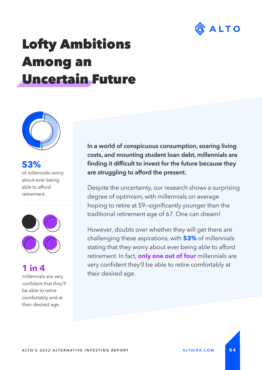

### Lofty Ambitions Among an Uncertain Future



**53%** of millennials worry about ever being able to afford retirement.



**1 in 4**

millennials are very confident that they'll be able to retire comfortably and at their desired age.

**In a world of conspicuous consumption, soaring living costs, and mounting student loan debt, millennials are fnding it diffcult to invest for the future because they are struggling to afford the present.** 

Despite the uncertainty, our research shows a surprising degree of optimism, with millennials on average hoping to retire at 59–significantly younger than the traditional retirement age of 67. One can dream!

However, doubts over whether they will get there are challenging these aspirations, with **53%** of millennials stating that they worry about ever being able to afford retirement. In fact, **only one out of four** millennials are very confident they'll be able to retire comfortably at their desired age.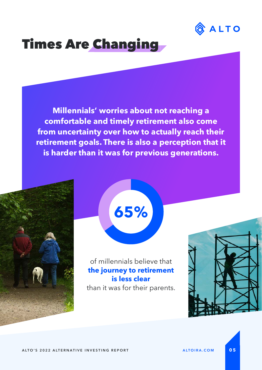

### Times Are Changing

**Millennials' worries about not reaching a comfortable and timely retirement also come from uncertainty over how to actually reach their retirement goals. There is also a perception that it is harder than it was for previous generations.**



**65%**

#### of millennials believe that **the journey to retirement is less clear** than it was for their parents.

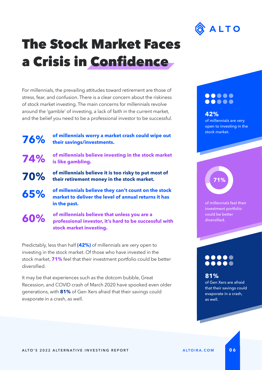

### The Stock Market Faces a Crisis in Confidence

For millennials, the prevailing attitudes toward retirement are those of stress, fear, and confusion. There is a clear concern about the riskiness of stock market investing. The main concerns for millennials revolve around the 'gamble' of investing, a lack of faith in the current market, and the belief you need to be a professional investor to be successful.

**76%**

**60%**

**of millennials worry a market crash could wipe out their savings/investments.**

**74% of millennials believe investing in the stock market is like gambling.**

**70% of millennials believe it is too risky to put most of their retirement money in the stock market.**

**65% of millennials believe they can't count on the stock market to deliver the level of annual returns it has in the past.**

> **of millennials believe that unless you are a professional investor, it's hard to be successful with stock market investing.**

Predictably, less than half **(42%)** of millennials are very open to investing in the stock market. Of those who have invested in the stock market, **71%** feel that their investment portfolio could be better diversifed.

It may be that experiences such as the dotcom bubble, Great Recession, and COVID crash of March 2020 have spooked even older generations, with **81%** of Gen Xers afraid that their savings could evaporate in a crash, as well.

#### $\bullet\bullet\bullet\bullet\bullet$ .....

**42%**  of millennials are very open to investing in the stock market.

# **71%**

of millennials feel their investment portfolio could be better diversifed.

### 

### **81%**

of Gen Xers are afraid that their savings could evaporate in a crash, as well.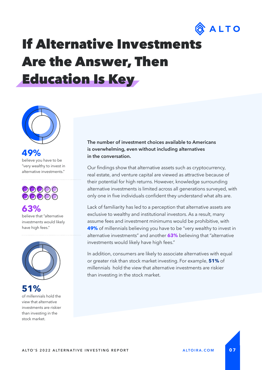

### If Alternative Investments Are the Answer, Then Education Is Key



### **49%**

believe you have to be "very wealthy to invest in alternative investments."



### **63%**

believe that "alternative investments would likely have high fees."



**51%** of millennials hold the view that alternative investments are riskier than investing in the stock market.

#### **The number of investment choices available to Americans is overwhelming, even without including alternatives in the conversation.**

Our findings show that alternative assets such as cryptocurrency, real estate, and venture capital are viewed as attractive because of their potential for high returns. However, knowledge surrounding alternative investments is limited across all generations surveyed, with only one in five individuals confident they understand what alts are.

Lack of familiarity has led to a perception that alternative assets are exclusive to wealthy and institutional investors. As a result, many assume fees and investment minimums would be prohibitive, with **49%** of millennials believing you have to be "very wealthy to invest in alternative investments" and another **63%** believing that "alternative investments would likely have high fees."

In addition, consumers are likely to associate alternatives with equal or greater risk than stock market investing. For example, **51%** of millennials hold the view that alternative investments are riskier than investing in the stock market.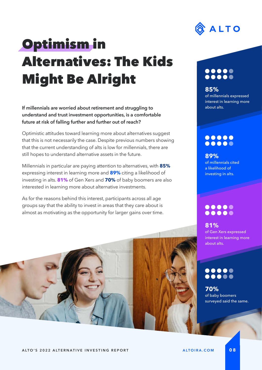

# Optimism in Alternatives: The Kids Might Be Alright

**If millennials are worried about retirement and struggling to understand and trust investment opportunities, is a comfortable future at risk of falling further and further out of reach?** 

Optimistic attitudes toward learning more about alternatives suggest that this is not necessarily the case. Despite previous numbers showing that the current understanding of alts is low for millennials, there are still hopes to understand alternative assets in the future.

Millennials in particular are paying attention to alternatives, with **85%** expressing interest in learning more and **89%** citing a likelihood of investing in alts. **81%** of Gen Xers and **70%** of baby boomers are also interested in learning more about alternative investments.

As for the reasons behind this interest, participants across all age groups say that the ability to invest in areas that they care about is almost as motivating as the opportunity for larger gains over time.

### 

#### **85%**

of millennials expressed interest in learning more about alts.

#### $\bullet\bullet\bullet\bullet\bullet$ .....

**89%** of millennials cited a likelihood of investing in alts.

#### $\bullet\bullet\bullet\bullet\bullet$ .....

**81%** of Gen Xers expressed interest in learning more about alts.

### $000000$

**70%** of baby boomers surveyed said the same.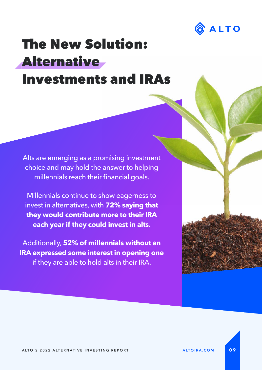

### The New Solution: **Alternative** Investments and IRAs

Alts are emerging as a promising investment choice and may hold the answer to helping millennials reach their financial goals.

Millennials continue to show eagerness to invest in alternatives, with **72% saying that they would contribute more to their IRA each year if they could invest in alts.** 

Additionally, **52% of millennials without an IRA expressed some interest in opening one** if they are able to hold alts in their IRA.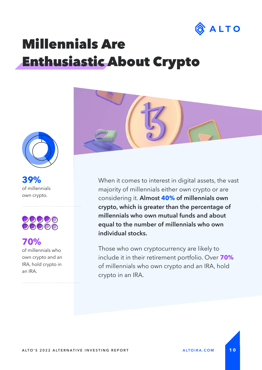

## Millennials Are Enthusiastic About Crypto



**39%** of millennials own crypto.



### **70%**

of millennials who own crypto and an IRA, hold crypto in an IRA.



When it comes to interest in digital assets, the vast majority of millennials either own crypto or are considering it. **Almost 40% of millennials own crypto, which is greater than the percentage of millennials who own mutual funds and about equal to the number of millennials who own individual stocks.** 

Those who own cryptocurrency are likely to include it in their retirement portfolio. Over **70%** of millennials who own crypto and an IRA, hold crypto in an IRA.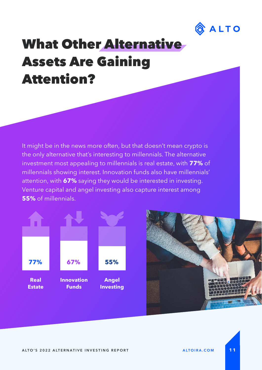

### What Other Alternative Assets Are Gaining Attention?

It might be in the news more often, but that doesn't mean crypto is the only alternative that's interesting to millennials. The alternative investment most appealing to millennials is real estate, with **77%** of millennials showing interest. Innovation funds also have millennials' attention, with **67%** saying they would be interested in investing. Venture capital and angel investing also capture interest among **55%** of millennials.



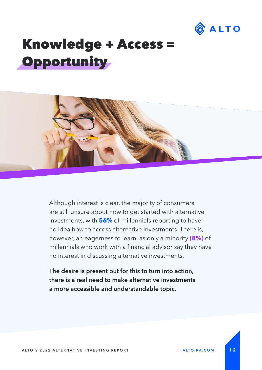

### Knowledge + Access = **Opportunity**



Although interest is clear, the majority of consumers are still unsure about how to get started with alternative investments, with **56%** of millennials reporting to have no idea how to access alternative investments. There is, however, an eagerness to learn, as only a minority **(8%)** of millennials who work with a financial advisor say they have no interest in discussing alternative investments.

**The desire is present but for this to turn into action, there is a real need to make alternative investments a more accessible and understandable topic.**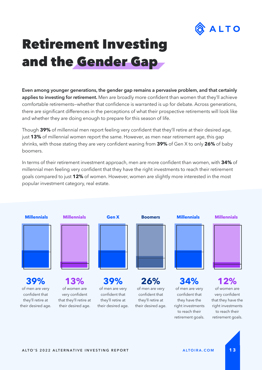

## Retirement Investing and the Gender Gap

**Even among younger generations, the gender gap remains a pervasive problem, and that certainly**  applies to investing for retirement. Men are broadly more confident than women that they'll achieve comfortable retirements–whether that confidence is warranted is up for debate. Across generations, there are signifcant differences in the perceptions of what their prospective retirements will look like and whether they are doing enough to prepare for this season of life.

Though 39% of millennial men report feeling very confident that they'll retire at their desired age, just **13%** of millennial women report the same. However, as men near retirement age, this gap shrinks, with those stating they are very confdent waning from **39%** of Gen X to only **26%** of baby boomers.

In terms of their retirement investment approach, men are more confident than women, with 34% of millennial men feeling very confident that they have the right investments to reach their retirement goals compared to just **12%** of women. However, women are slightly more interested in the most popular investment category, real estate.



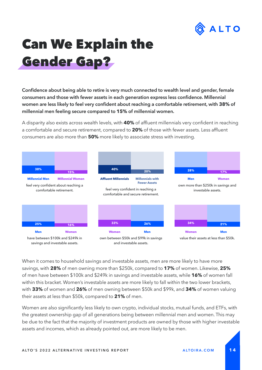

## Can We Explain the Gender Gap?

Confidence about being able to retire is very much connected to wealth level and gender, female **consumers and those with fewer assets in each generation express less confdence. Millennial women are less likely to feel very confdent about reaching a comfortable retirement, with 38% of millennial men feeling secure compared to 15% of millennial women.** 

A disparity also exists across wealth levels, with **40%** of affluent millennials very confident in reaching a comfortable and secure retirement, compared to **20%** of those with fewer assets. Less affuent consumers are also more than **50%** more likely to associate stress with investing.



When it comes to household savings and investable assets, men are more likely to have more savings, with **28%** of men owning more than \$250k, compared to **17%** of women. Likewise, **25%**  of men have between \$100k and \$249k in savings and investable assets, while **16%** of women fall within this bracket. Women's investable assets are more likely to fall within the two lower brackets, with **33%** of women and **26%** of men owning between \$50k and \$99k, and **34%** of women valuing their assets at less than \$50k, compared to **21%** of men.

Women are also signifcantly less likely to own crypto, individual stocks, mutual funds, and ETFs, with the greatest ownership gap of all generations being between millennial men and women. This may be due to the fact that the majority of investment products are owned by those with higher investable assets and incomes, which as already pointed out, are more likely to be men.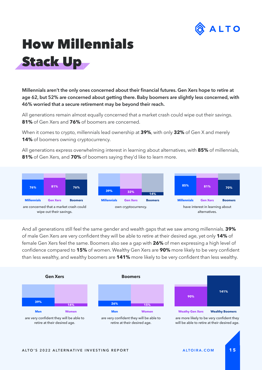

# How Millennials Stack Up

**Millennials aren't the only ones concerned about their fnancial futures. Gen Xers hope to retire at age 62, but 52% are concerned about getting there. Baby boomers are slightly less concerned, with 46% worried that a secure retirement may be beyond their reach.**

All generations remain almost equally concerned that a market crash could wipe out their savings. **81%** of Gen Xers and **76%** of boomers are concerned.

When it comes to crypto, millennials lead ownership at **39%**, with only **32%** of Gen X and merely 14% of boomers owning cryptocurrency.

All generations express overwhelming interest in learning about alternatives, with **85%** of millennials, **81%** of Gen Xers, and **70%** of boomers saying they'd like to learn more.



And all generations still feel the same gender and wealth gaps that we saw among millennials. **39%** of male Gen Xers are very confdent they will be able to retire at their desired age, yet only **14%** of female Gen Xers feel the same. Boomers also see a gap with **26%** of men expressing a high level of confidence compared to 15% of women. Wealthy Gen Xers are 90% more likely to be very confident than less wealthy, and wealthy boomers are **141%** more likely to be very confdent than less wealthy.

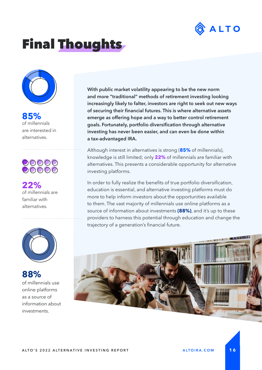

### Final Thoughts



**85%**  of millennials are interested in alternatives.



**22%** of millennials are familiar with alternatives.



**88%**  of millennials use online platforms as a source of information about investments.

**With public market volatility appearing to be the new norm and more "traditional" methods of retirement investing looking increasingly likely to falter, investors are right to seek out new ways of securing their fnancial futures. This is where alternative assets emerge as offering hope and a way to better control retirement goals. Fortunately, portfolio diversifcation through alternative investing has never been easier, and can even be done within a tax-advantaged IRA.**

Although interest in alternatives is strong (**85%** of millennials), knowledge is still limited; only **22%** of millennials are familiar with alternatives. This presents a considerable opportunity for alternative investing platforms.

In order to fully realize the benefits of true portfolio diversification, education is essential, and alternative investing platforms must do more to help inform investors about the opportunities available to them. The vast majority of millennials use online platforms as a source of information about investments **(88%)**, and it's up to these providers to harness this potential through education and change the trajectory of a generation's fnancial future.